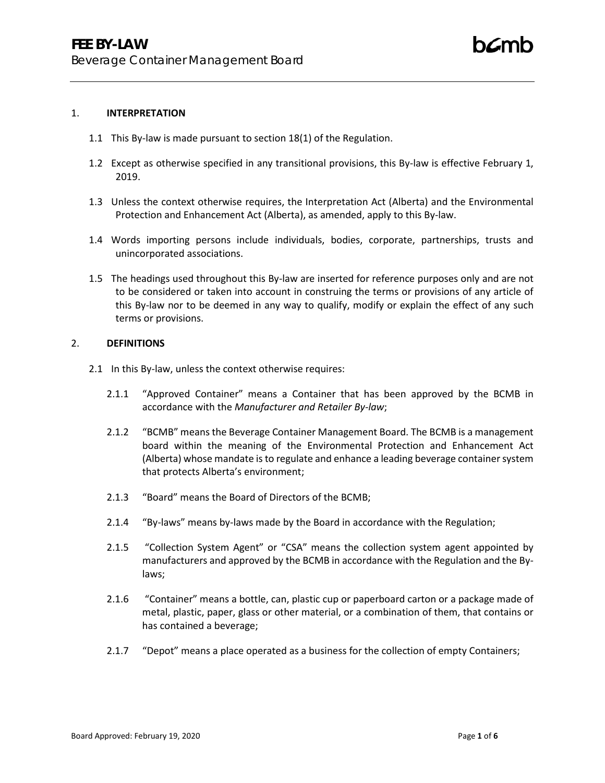#### 1. **INTERPRETATION**

- 1.1 This By-law is made pursuant to section 18(1) of the Regulation.
- 1.2 Except as otherwise specified in any transitional provisions, this By-law is effective February 1, 2019.
- 1.3 Unless the context otherwise requires, the Interpretation Act (Alberta) and the Environmental Protection and Enhancement Act (Alberta), as amended, apply to this By-law.
- 1.4 Words importing persons include individuals, bodies, corporate, partnerships, trusts and unincorporated associations.
- 1.5 The headings used throughout this By-law are inserted for reference purposes only and are not to be considered or taken into account in construing the terms or provisions of any article of this By-law nor to be deemed in any way to qualify, modify or explain the effect of any such terms or provisions.

### 2. **DEFINITIONS**

- 2.1 In this By-law, unless the context otherwise requires:
	- 2.1.1 "Approved Container" means a Container that has been approved by the BCMB in accordance with the *Manufacturer and Retailer By-law*;
	- 2.1.2 "BCMB" means the Beverage Container Management Board. The BCMB is a management board within the meaning of the Environmental Protection and Enhancement Act (Alberta) whose mandate is to regulate and enhance a leading beverage container system that protects Alberta's environment;
	- 2.1.3 "Board" means the Board of Directors of the BCMB;
	- 2.1.4 "By-laws" means by-laws made by the Board in accordance with the Regulation;
	- 2.1.5 "Collection System Agent" or "CSA" means the collection system agent appointed by manufacturers and approved by the BCMB in accordance with the Regulation and the Bylaws;
	- 2.1.6 "Container" means a bottle, can, plastic cup or paperboard carton or a package made of metal, plastic, paper, glass or other material, or a combination of them, that contains or has contained a beverage;
	- 2.1.7 "Depot" means a place operated as a business for the collection of empty Containers;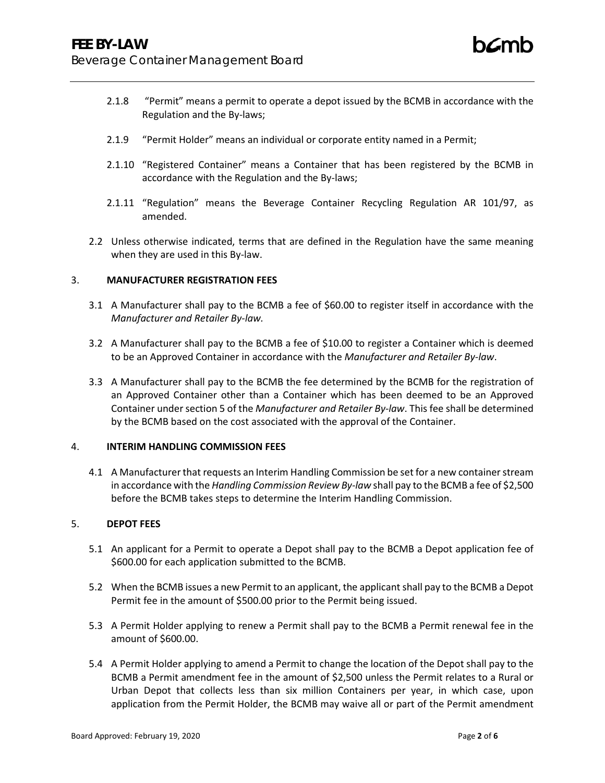- 2.1.8 "Permit" means a permit to operate a depot issued by the BCMB in accordance with the Regulation and the By-laws;
- 2.1.9 "Permit Holder" means an individual or corporate entity named in a Permit;
- 2.1.10 "Registered Container" means a Container that has been registered by the BCMB in accordance with the Regulation and the By-laws;
- 2.1.11 "Regulation" means the Beverage Container Recycling Regulation AR 101/97, as amended.
- 2.2 Unless otherwise indicated, terms that are defined in the Regulation have the same meaning when they are used in this By-law.

### 3. **MANUFACTURER REGISTRATION FEES**

- 3.1 A Manufacturer shall pay to the BCMB a fee of \$60.00 to register itself in accordance with the *Manufacturer and Retailer By-law.*
- 3.2 A Manufacturer shall pay to the BCMB a fee of \$10.00 to register a Container which is deemed to be an Approved Container in accordance with the *Manufacturer and Retailer By-law*.
- 3.3 A Manufacturer shall pay to the BCMB the fee determined by the BCMB for the registration of an Approved Container other than a Container which has been deemed to be an Approved Container under section 5 of the *Manufacturer and Retailer By-law*. This fee shall be determined by the BCMB based on the cost associated with the approval of the Container.

### 4. **INTERIM HANDLING COMMISSION FEES**

4.1 A Manufacturer that requests an Interim Handling Commission be set for a new container stream in accordance with the *Handling Commission Review By-law* shall pay to the BCMB a fee of \$2,500 before the BCMB takes steps to determine the Interim Handling Commission.

### 5. **DEPOT FEES**

- 5.1 An applicant for a Permit to operate a Depot shall pay to the BCMB a Depot application fee of \$600.00 for each application submitted to the BCMB.
- 5.2 When the BCMB issues a new Permit to an applicant, the applicant shall pay to the BCMB a Depot Permit fee in the amount of \$500.00 prior to the Permit being issued.
- 5.3 A Permit Holder applying to renew a Permit shall pay to the BCMB a Permit renewal fee in the amount of \$600.00.
- 5.4 A Permit Holder applying to amend a Permit to change the location of the Depot shall pay to the BCMB a Permit amendment fee in the amount of \$2,500 unless the Permit relates to a Rural or Urban Depot that collects less than six million Containers per year, in which case, upon application from the Permit Holder, the BCMB may waive all or part of the Permit amendment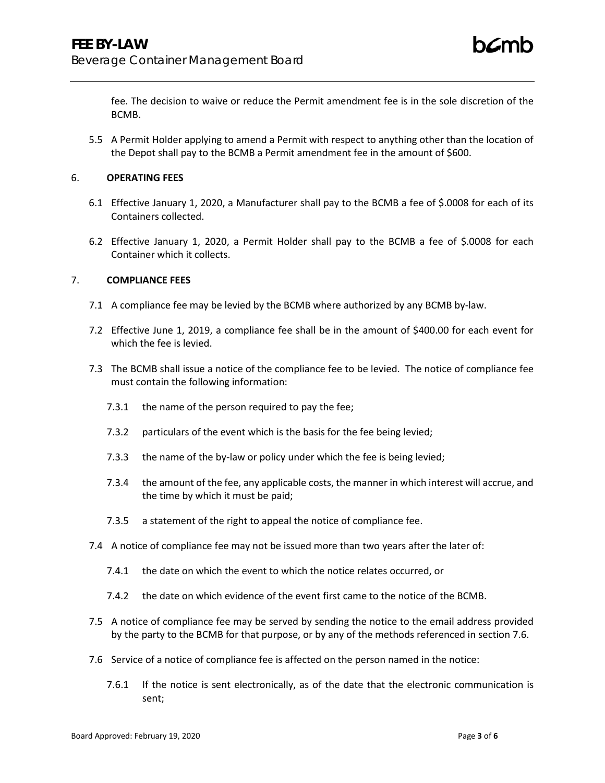fee. The decision to waive or reduce the Permit amendment fee is in the sole discretion of the BCMB.

5.5 A Permit Holder applying to amend a Permit with respect to anything other than the location of the Depot shall pay to the BCMB a Permit amendment fee in the amount of \$600.

## 6. **OPERATING FEES**

- 6.1 Effective January 1, 2020, a Manufacturer shall pay to the BCMB a fee of \$.0008 for each of its Containers collected.
- 6.2 Effective January 1, 2020, a Permit Holder shall pay to the BCMB a fee of \$.0008 for each Container which it collects.

## 7. **COMPLIANCE FEES**

- 7.1 A compliance fee may be levied by the BCMB where authorized by any BCMB by-law.
- 7.2 Effective June 1, 2019, a compliance fee shall be in the amount of \$400.00 for each event for which the fee is levied.
- 7.3 The BCMB shall issue a notice of the compliance fee to be levied. The notice of compliance fee must contain the following information:
	- 7.3.1 the name of the person required to pay the fee;
	- 7.3.2 particulars of the event which is the basis for the fee being levied;
	- 7.3.3 the name of the by-law or policy under which the fee is being levied;
	- 7.3.4 the amount of the fee, any applicable costs, the manner in which interest will accrue, and the time by which it must be paid;
	- 7.3.5 a statement of the right to appeal the notice of compliance fee.
- 7.4 A notice of compliance fee may not be issued more than two years after the later of:
	- 7.4.1 the date on which the event to which the notice relates occurred, or
	- 7.4.2 the date on which evidence of the event first came to the notice of the BCMB.
- 7.5 A notice of compliance fee may be served by sending the notice to the email address provided by the party to the BCMB for that purpose, or by any of the methods referenced in section 7.6.
- 7.6 Service of a notice of compliance fee is affected on the person named in the notice:
	- 7.6.1 If the notice is sent electronically, as of the date that the electronic communication is sent;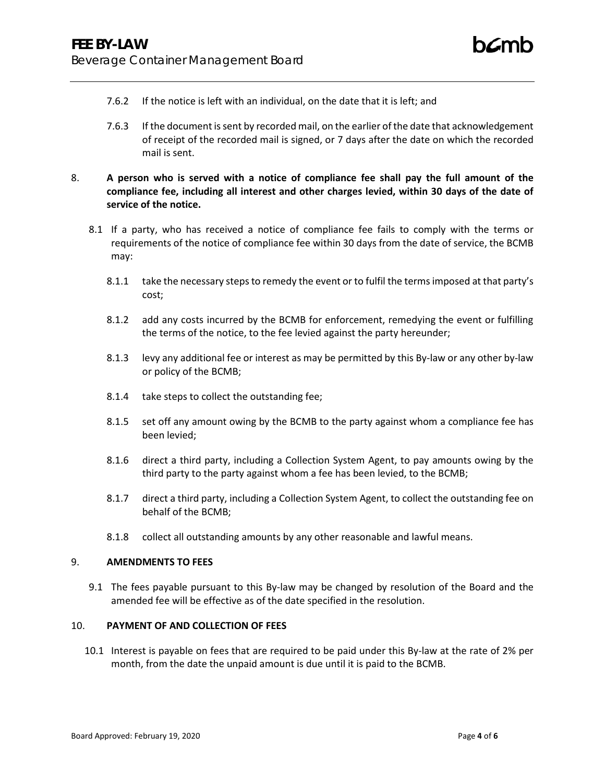- 7.6.2 If the notice is left with an individual, on the date that it is left; and
- 7.6.3 If the document is sent by recorded mail, on the earlier of the date that acknowledgement of receipt of the recorded mail is signed, or 7 days after the date on which the recorded mail is sent.
- 8. **A person who is served with a notice of compliance fee shall pay the full amount of the compliance fee, including all interest and other charges levied, within 30 days of the date of service of the notice.**
	- 8.1 If a party, who has received a notice of compliance fee fails to comply with the terms or requirements of the notice of compliance fee within 30 days from the date of service, the BCMB may:
		- 8.1.1 take the necessary steps to remedy the event or to fulfil the terms imposed at that party's cost;
		- 8.1.2 add any costs incurred by the BCMB for enforcement, remedying the event or fulfilling the terms of the notice, to the fee levied against the party hereunder;
		- 8.1.3 levy any additional fee or interest as may be permitted by this By-law or any other by-law or policy of the BCMB;
		- 8.1.4 take steps to collect the outstanding fee;
		- 8.1.5 set off any amount owing by the BCMB to the party against whom a compliance fee has been levied;
		- 8.1.6 direct a third party, including a Collection System Agent, to pay amounts owing by the third party to the party against whom a fee has been levied, to the BCMB;
		- 8.1.7 direct a third party, including a Collection System Agent, to collect the outstanding fee on behalf of the BCMB;
		- 8.1.8 collect all outstanding amounts by any other reasonable and lawful means.

### 9. **AMENDMENTS TO FEES**

9.1 The fees payable pursuant to this By-law may be changed by resolution of the Board and the amended fee will be effective as of the date specified in the resolution.

# 10. **PAYMENT OF AND COLLECTION OF FEES**

10.1 Interest is payable on fees that are required to be paid under this By-law at the rate of 2% per month, from the date the unpaid amount is due until it is paid to the BCMB.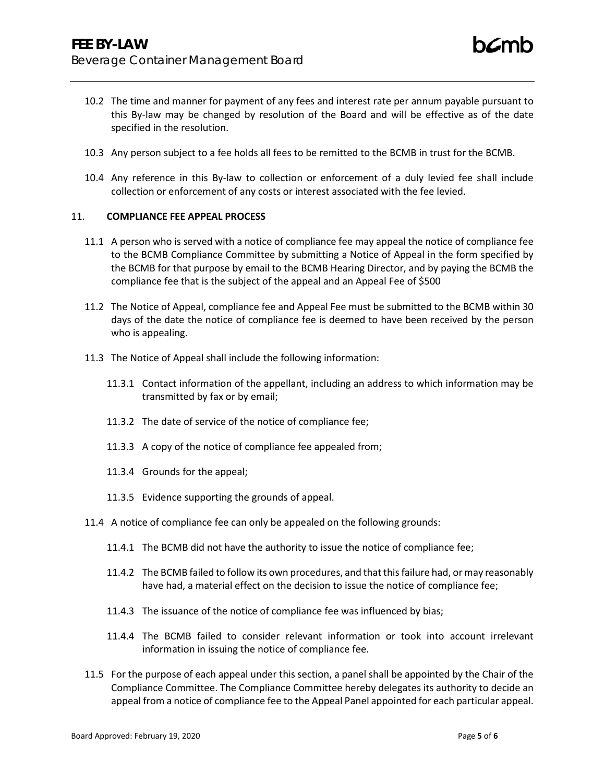- 10.3 Any person subject to a fee holds all fees to be remitted to the BCMB in trust for the BCMB.
- 10.4 Any reference in this By-law to collection or enforcement of a duly levied fee shall include collection or enforcement of any costs or interest associated with the fee levied.

## 11. **COMPLIANCE FEE APPEAL PROCESS**

- 11.1 A person who is served with a notice of compliance fee may appeal the notice of compliance fee to the BCMB Compliance Committee by submitting a Notice of Appeal in the form specified by the BCMB for that purpose by email to the BCMB Hearing Director, and by paying the BCMB the compliance fee that is the subject of the appeal and an Appeal Fee of \$500
- 11.2 The Notice of Appeal, compliance fee and Appeal Fee must be submitted to the BCMB within 30 days of the date the notice of compliance fee is deemed to have been received by the person who is appealing.
- 11.3 The Notice of Appeal shall include the following information:
	- 11.3.1 Contact information of the appellant, including an address to which information may be transmitted by fax or by email;
	- 11.3.2 The date of service of the notice of compliance fee;
	- 11.3.3 A copy of the notice of compliance fee appealed from;
	- 11.3.4 Grounds for the appeal;
	- 11.3.5 Evidence supporting the grounds of appeal.
- 11.4 A notice of compliance fee can only be appealed on the following grounds:
	- 11.4.1 The BCMB did not have the authority to issue the notice of compliance fee;
	- 11.4.2 The BCMB failed to follow its own procedures, and that this failure had, or may reasonably have had, a material effect on the decision to issue the notice of compliance fee;
	- 11.4.3 The issuance of the notice of compliance fee was influenced by bias;
	- 11.4.4 The BCMB failed to consider relevant information or took into account irrelevant information in issuing the notice of compliance fee.
- 11.5 For the purpose of each appeal under this section, a panel shall be appointed by the Chair of the Compliance Committee. The Compliance Committee hereby delegates its authority to decide an appeal from a notice of compliance fee to the Appeal Panel appointed for each particular appeal.